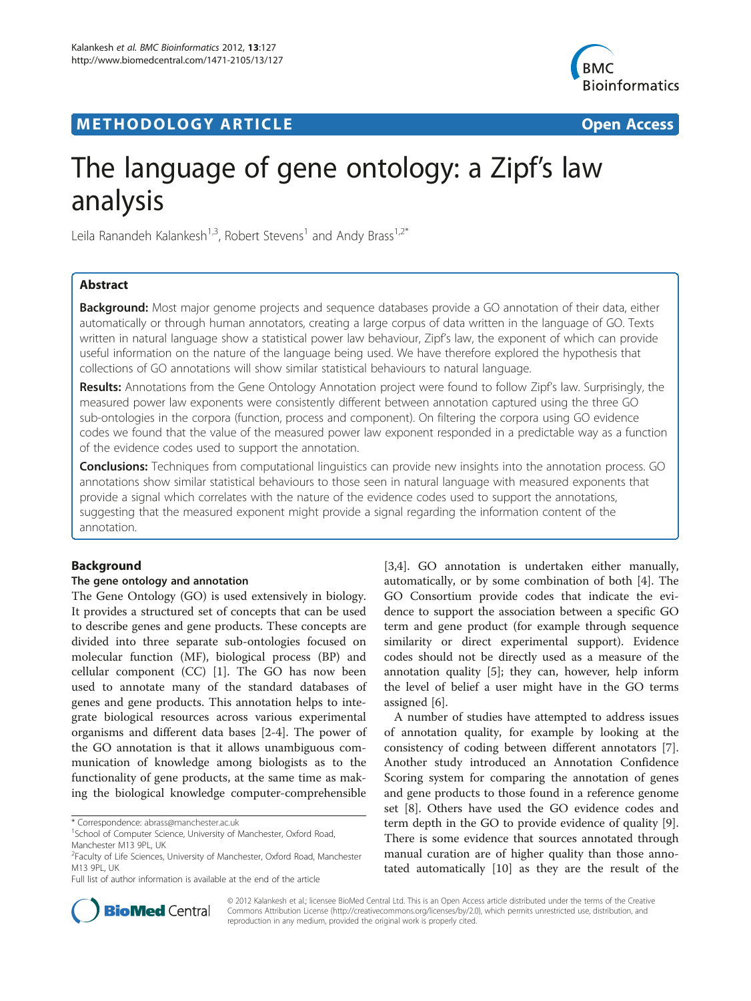



# The language of gene ontology: a Zipf's law analysis

Leila Ranandeh Kalankesh<sup>1,3</sup>, Robert Stevens<sup>1</sup> and Andy Brass<sup>1,2\*</sup>

# Abstract

**Background:** Most major genome projects and sequence databases provide a GO annotation of their data, either automatically or through human annotators, creating a large corpus of data written in the language of GO. Texts written in natural language show a statistical power law behaviour, Zipf's law, the exponent of which can provide useful information on the nature of the language being used. We have therefore explored the hypothesis that collections of GO annotations will show similar statistical behaviours to natural language.

Results: Annotations from the Gene Ontology Annotation project were found to follow Zipf's law. Surprisingly, the measured power law exponents were consistently different between annotation captured using the three GO sub-ontologies in the corpora (function, process and component). On filtering the corpora using GO evidence codes we found that the value of the measured power law exponent responded in a predictable way as a function of the evidence codes used to support the annotation.

**Conclusions:** Techniques from computational linguistics can provide new insights into the annotation process. GO annotations show similar statistical behaviours to those seen in natural language with measured exponents that provide a signal which correlates with the nature of the evidence codes used to support the annotations, suggesting that the measured exponent might provide a signal regarding the information content of the annotation.

# Background

## The gene ontology and annotation

The Gene Ontology (GO) is used extensively in biology. It provides a structured set of concepts that can be used to describe genes and gene products. These concepts are divided into three separate sub-ontologies focused on molecular function (MF), biological process (BP) and cellular component (CC) [[1\]](#page-6-0). The GO has now been used to annotate many of the standard databases of genes and gene products. This annotation helps to integrate biological resources across various experimental organisms and different data bases [\[2](#page-6-0)-[4\]](#page-6-0). The power of the GO annotation is that it allows unambiguous communication of knowledge among biologists as to the functionality of gene products, at the same time as making the biological knowledge computer-comprehensible

\* Correspondence: [abrass@manchester.ac.uk](mailto:abrass@manchester.ac.uk) <sup>1</sup>

[[3,4\]](#page-6-0). GO annotation is undertaken either manually, automatically, or by some combination of both [[4](#page-6-0)]. The GO Consortium provide codes that indicate the evidence to support the association between a specific GO term and gene product (for example through sequence similarity or direct experimental support). Evidence codes should not be directly used as a measure of the annotation quality [\[5](#page-6-0)]; they can, however, help inform the level of belief a user might have in the GO terms assigned [\[6](#page-6-0)].

A number of studies have attempted to address issues of annotation quality, for example by looking at the consistency of coding between different annotators [\[7](#page-6-0)]. Another study introduced an Annotation Confidence Scoring system for comparing the annotation of genes and gene products to those found in a reference genome set [[8\]](#page-6-0). Others have used the GO evidence codes and term depth in the GO to provide evidence of quality [\[9](#page-6-0)]. There is some evidence that sources annotated through manual curation are of higher quality than those annotated automatically [[10](#page-6-0)] as they are the result of the



© 2012 Kalankesh et al.; licensee BioMed Central Ltd. This is an Open Access article distributed under the terms of the Creative Commons Attribution License [\(http://creativecommons.org/licenses/by/2.0\)](http://creativecommons.org/licenses/by/2.0), which permits unrestricted use, distribution, and reproduction in any medium, provided the original work is properly cited.

<sup>&</sup>lt;sup>1</sup> School of Computer Science, University of Manchester, Oxford Road, Manchester M13 9PL, UK

<sup>&</sup>lt;sup>2</sup>Faculty of Life Sciences, University of Manchester, Oxford Road, Manchester M13 9PL, UK

Full list of author information is available at the end of the article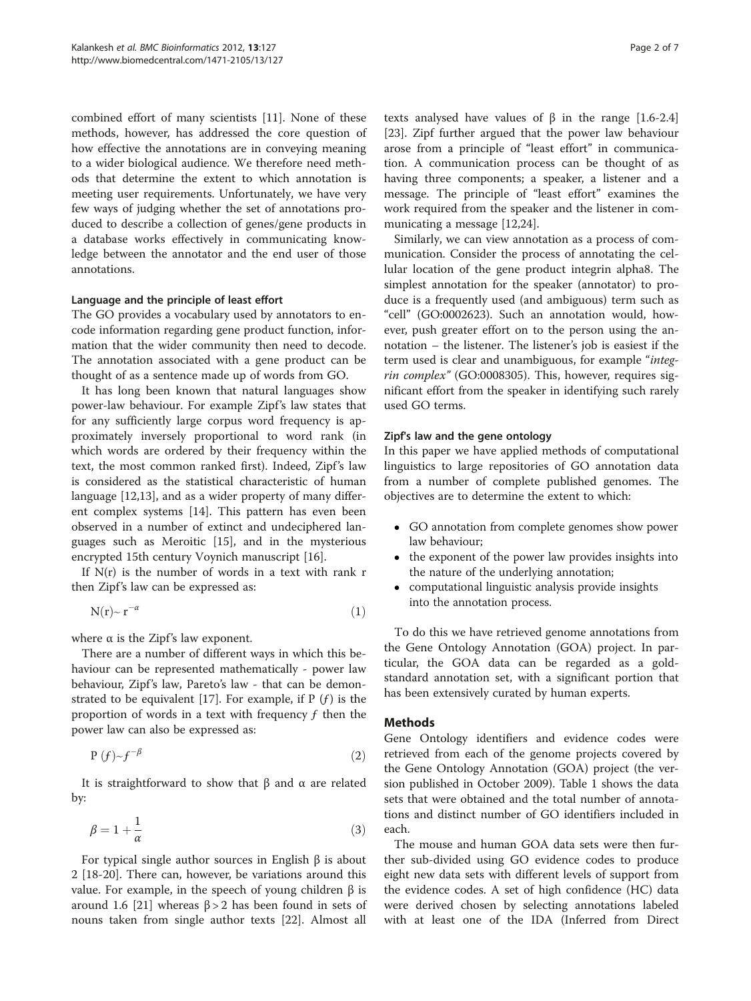combined effort of many scientists [\[11\]](#page-6-0). None of these methods, however, has addressed the core question of how effective the annotations are in conveying meaning to a wider biological audience. We therefore need methods that determine the extent to which annotation is meeting user requirements. Unfortunately, we have very few ways of judging whether the set of annotations produced to describe a collection of genes/gene products in a database works effectively in communicating knowledge between the annotator and the end user of those annotations.

## Language and the principle of least effort

The GO provides a vocabulary used by annotators to encode information regarding gene product function, information that the wider community then need to decode. The annotation associated with a gene product can be thought of as a sentence made up of words from GO.

It has long been known that natural languages show power-law behaviour. For example Zipf's law states that for any sufficiently large corpus word frequency is approximately inversely proportional to word rank (in which words are ordered by their frequency within the text, the most common ranked first). Indeed, Zipf's law is considered as the statistical characteristic of human language [[12,13\]](#page-6-0), and as a wider property of many different complex systems [[14\]](#page-6-0). This pattern has even been observed in a number of extinct and undeciphered languages such as Meroitic [\[15\]](#page-6-0), and in the mysterious encrypted 15th century Voynich manuscript [[16\]](#page-6-0).

If  $N(r)$  is the number of words in a text with rank r then Zipf's law can be expressed as: ges sax<br>rypted<br>N(r) is<br>n Zipf's<br>N(r)∼r

$$
N(r) \sim r^{-\alpha} \tag{1}
$$

where  $\alpha$  is the Zipf's law exponent.

There are a number of different ways in which this behaviour can be represented mathematically - power law behaviour, Zipf's law, Pareto's law - that can be demon-strated to be equivalent [[17\]](#page-6-0). For example, if P (*f*) is the proportion of words in a text with frequency *f* then the power law can also be expressed as:<br>P  $(f) \sim f^{-\beta}$  (2) proportion of words in a text with frequency  $f$  then the power law can also be expressed as:

$$
P(f) \sim f^{-\beta} \tag{2}
$$

It is straightforward to show that β and α are related by:

$$
\beta = 1 + \frac{1}{\alpha} \tag{3}
$$

For typical single author sources in English  $β$  is about 2 [\[18](#page-6-0)-[20](#page-6-0)]. There can, however, be variations around this value. For example, in the speech of young children β is around 1.6 [\[21](#page-6-0)] whereas  $β > 2$  has been found in sets of nouns taken from single author texts [\[22](#page-6-0)]. Almost all

texts analysed have values of β in the range  $[1.6-2.4]$ [[23\]](#page-6-0). Zipf further argued that the power law behaviour arose from a principle of "least effort" in communication. A communication process can be thought of as having three components; a speaker, a listener and a message. The principle of "least effort" examines the work required from the speaker and the listener in com-

Similarly, we can view annotation as a process of communication. Consider the process of annotating the cellular location of the gene product integrin alpha8. The simplest annotation for the speaker (annotator) to produce is a frequently used (and ambiguous) term such as "cell" (GO:0002623). Such an annotation would, however, push greater effort on to the person using the annotation – the listener. The listener's job is easiest if the term used is clear and unambiguous, for example "integrin complex" (GO:0008305). This, however, requires significant effort from the speaker in identifying such rarely used GO terms.

## Zipf's law and the gene ontology

municating a message [[12,24\]](#page-6-0).

In this paper we have applied methods of computational linguistics to large repositories of GO annotation data from a number of complete published genomes. The objectives are to determine the extent to which:

- GO annotation from complete genomes show power law behaviour;
- the exponent of the power law provides insights into the nature of the underlying annotation;
- computational linguistic analysis provide insights into the annotation process.

To do this we have retrieved genome annotations from the Gene Ontology Annotation (GOA) project. In particular, the GOA data can be regarded as a goldstandard annotation set, with a significant portion that has been extensively curated by human experts.

## Methods

Gene Ontology identifiers and evidence codes were retrieved from each of the genome projects covered by the Gene Ontology Annotation (GOA) project (the version published in October 2009). Table [1](#page-2-0) shows the data sets that were obtained and the total number of annotations and distinct number of GO identifiers included in each.

The mouse and human GOA data sets were then further sub-divided using GO evidence codes to produce eight new data sets with different levels of support from the evidence codes. A set of high confidence (HC) data were derived chosen by selecting annotations labeled with at least one of the IDA (Inferred from Direct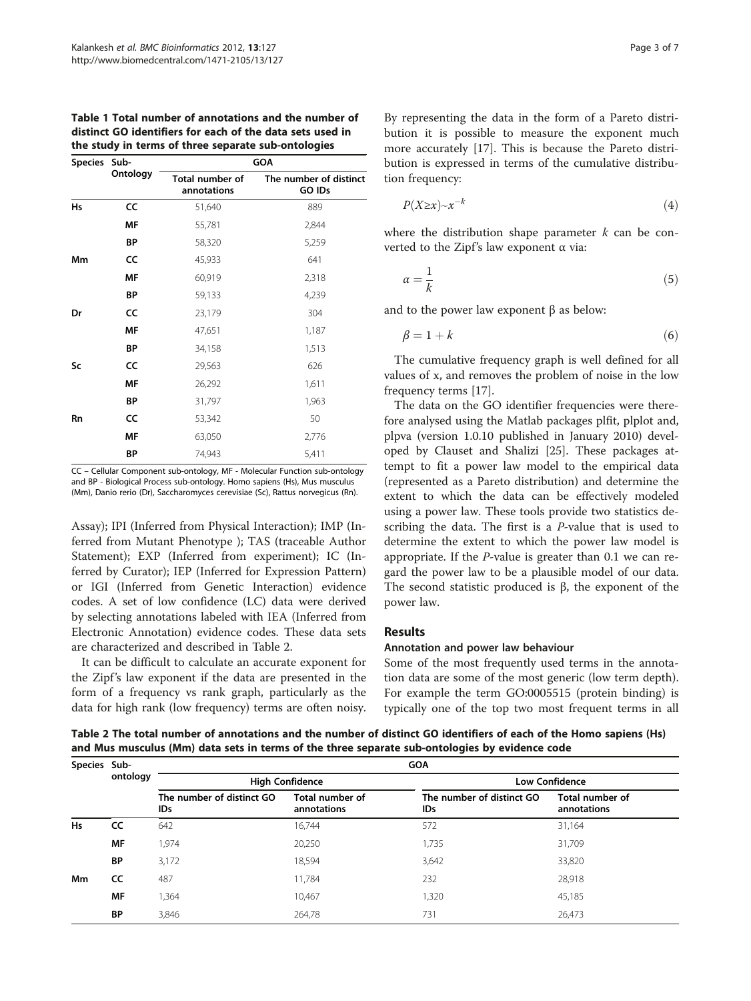| Species Sub- | Ontology  | <b>GOA</b>                     |                                  |  |
|--------------|-----------|--------------------------------|----------------------------------|--|
|              |           | Total number of<br>annotations | The number of distinct<br>GO IDs |  |
| Hs           | cc        | 51,640                         | 889                              |  |
|              | MF        | 55,781                         | 2,844                            |  |
|              | ΒP        | 58,320                         | 5,259                            |  |
| Mm           | CC        | 45,933                         | 641                              |  |
|              | MF        | 60,919                         | 2,318                            |  |
|              | ΒP        | 59,133                         | 4,239                            |  |
| Dr           | CC        | 23,179                         | 304                              |  |
|              | MF        | 47,651                         | 1,187                            |  |
|              | <b>BP</b> | 34,158                         | 1,513                            |  |
| Sc           | cc        | 29,563                         | 626                              |  |
|              | MF        | 26,292                         | 1,611                            |  |
|              | <b>BP</b> | 31,797                         | 1,963                            |  |
| Rn           | cc        | 53,342                         | 50                               |  |
|              | MF        | 63,050                         | 2,776                            |  |
|              | ΒP        | 74,943                         | 5,411                            |  |

<span id="page-2-0"></span>Table 1 Total number of annotations and the number of distinct GO identifiers for each of the data sets used in the study in terms of three separate sub-ontologies

CC – Cellular Component sub-ontology, MF - Molecular Function sub-ontology and BP - Biological Process sub-ontology. Homo sapiens (Hs), Mus musculus (Mm), Danio rerio (Dr), Saccharomyces cerevisiae (Sc), Rattus norvegicus (Rn).

Assay); IPI (Inferred from Physical Interaction); IMP (Inferred from Mutant Phenotype ); TAS (traceable Author Statement); EXP (Inferred from experiment); IC (Inferred by Curator); IEP (Inferred for Expression Pattern) or IGI (Inferred from Genetic Interaction) evidence codes. A set of low confidence (LC) data were derived by selecting annotations labeled with IEA (Inferred from Electronic Annotation) evidence codes. These data sets are characterized and described in Table 2.

It can be difficult to calculate an accurate exponent for the Zipf's law exponent if the data are presented in the form of a frequency vs rank graph, particularly as the data for high rank (low frequency) terms are often noisy.

By representing the data in the form of a Pareto distribution it is possible to measure the exponent much more accurately [[17](#page-6-0)]. This is because the Pareto distribution is expressed in terms of the cumulative distribution frequency: France is expressed<br>ion is expressed<br>on is expressed<br> $P(X \ge x) \sim x^{-1}$ 

$$
P(X \ge x) \sim x^{-k} \tag{4}
$$

where the distribution shape parameter  $k$  can be converted to the Zipf's law exponent α via:

$$
\alpha = \frac{1}{k} \tag{5}
$$

and to the power law exponent β as below:

$$
\beta = 1 + k \tag{6}
$$

The cumulative frequency graph is well defined for all values of x, and removes the problem of noise in the low frequency terms [\[17\]](#page-6-0).

The data on the GO identifier frequencies were therefore analysed using the Matlab packages plfit, plplot and, plpva (version 1.0.10 published in January 2010) developed by Clauset and Shalizi [[25\]](#page-6-0). These packages attempt to fit a power law model to the empirical data (represented as a Pareto distribution) and determine the extent to which the data can be effectively modeled using a power law. These tools provide two statistics describing the data. The first is a  $P$ -value that is used to determine the extent to which the power law model is appropriate. If the P-value is greater than 0.1 we can regard the power law to be a plausible model of our data. The second statistic produced is β, the exponent of the power law.

## Results

## Annotation and power law behaviour

Some of the most frequently used terms in the annotation data are some of the most generic (low term depth). For example the term GO:0005515 (protein binding) is typically one of the top two most frequent terms in all

Table 2 The total number of annotations and the number of distinct GO identifiers of each of the Homo sapiens (Hs) and Mus musculus (Mm) data sets in terms of the three separate sub-ontologies by evidence code

| Species Sub- | ontology  | <b>GOA</b>                       |                                |                                   |                                |  |
|--------------|-----------|----------------------------------|--------------------------------|-----------------------------------|--------------------------------|--|
|              |           | <b>High Confidence</b>           |                                | <b>Low Confidence</b>             |                                |  |
|              |           | The number of distinct GO<br>IDs | Total number of<br>annotations | The number of distinct GO<br>IDs. | Total number of<br>annotations |  |
| Hs           | cc        | 642                              | 16.744                         | 572                               | 31,164                         |  |
|              | MF        | 1,974                            | 20,250                         | 1,735                             | 31,709                         |  |
|              | <b>BP</b> | 3,172                            | 18,594                         | 3,642                             | 33,820                         |  |
| Mm           | CC        | 487                              | 11,784                         | 232                               | 28,918                         |  |
|              | MF        | 1,364                            | 10,467                         | 1,320                             | 45,185                         |  |
|              | BP        | 3,846                            | 264,78                         | 731                               | 26,473                         |  |
|              |           |                                  |                                |                                   |                                |  |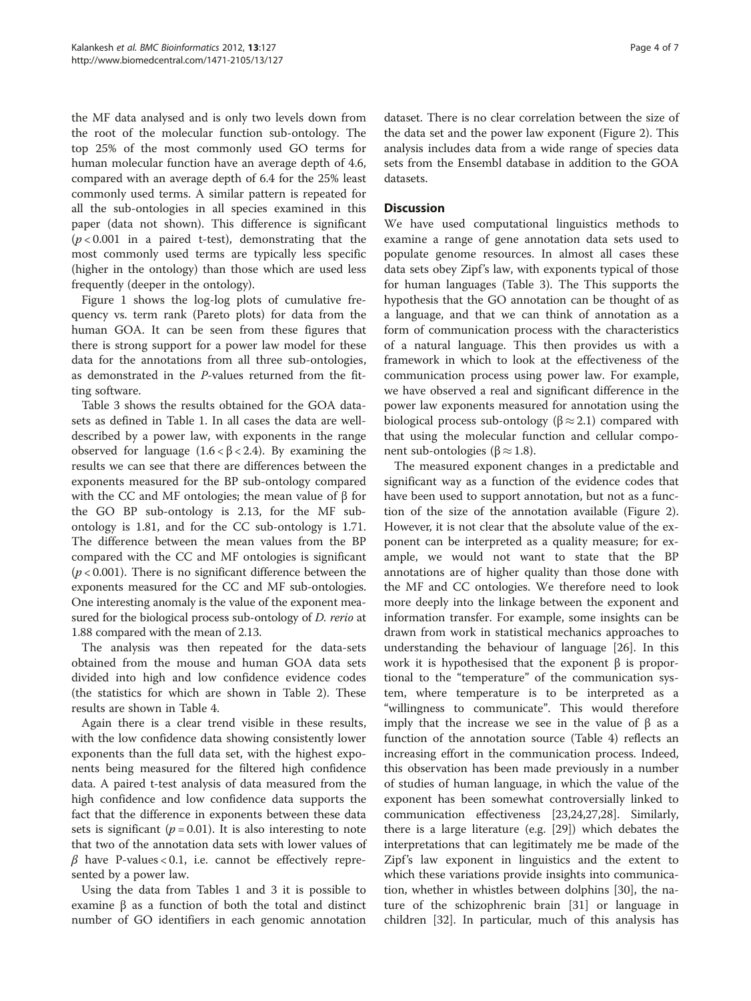the MF data analysed and is only two levels down from the root of the molecular function sub-ontology. The top 25% of the most commonly used GO terms for human molecular function have an average depth of 4.6, compared with an average depth of 6.4 for the 25% least commonly used terms. A similar pattern is repeated for all the sub-ontologies in all species examined in this paper (data not shown). This difference is significant  $(p < 0.001$  in a paired t-test), demonstrating that the most commonly used terms are typically less specific (higher in the ontology) than those which are used less frequently (deeper in the ontology).

Figure [1](#page-4-0) shows the log-log plots of cumulative frequency vs. term rank (Pareto plots) for data from the human GOA. It can be seen from these figures that there is strong support for a power law model for these data for the annotations from all three sub-ontologies, as demonstrated in the P-values returned from the fitting software.

Table [3](#page-5-0) shows the results obtained for the GOA datasets as defined in Table [1.](#page-2-0) In all cases the data are welldescribed by a power law, with exponents in the range observed for language  $(1.6 < \beta < 2.4)$ . By examining the results we can see that there are differences between the exponents measured for the BP sub-ontology compared with the CC and MF ontologies; the mean value of β for the GO BP sub-ontology is 2.13, for the MF subontology is 1.81, and for the CC sub-ontology is 1.71. The difference between the mean values from the BP compared with the CC and MF ontologies is significant  $(p < 0.001)$ . There is no significant difference between the exponents measured for the CC and MF sub-ontologies. One interesting anomaly is the value of the exponent measured for the biological process sub-ontology of *D. rerio* at 1.88 compared with the mean of 2.13.

The analysis was then repeated for the data-sets obtained from the mouse and human GOA data sets divided into high and low confidence evidence codes (the statistics for which are shown in Table [2](#page-2-0)). These results are shown in Table [4](#page-5-0).

Again there is a clear trend visible in these results, with the low confidence data showing consistently lower exponents than the full data set, with the highest exponents being measured for the filtered high confidence data. A paired t-test analysis of data measured from the high confidence and low confidence data supports the fact that the difference in exponents between these data sets is significant ( $p = 0.01$ ). It is also interesting to note that two of the annotation data sets with lower values of  $\beta$  have P-values < 0.1, i.e. cannot be effectively represented by a power law.

Using the data from Tables [1](#page-2-0) and [3](#page-5-0) it is possible to examine β as a function of both the total and distinct number of GO identifiers in each genomic annotation dataset. There is no clear correlation between the size of the data set and the power law exponent (Figure [2](#page-5-0)). This analysis includes data from a wide range of species data sets from the Ensembl database in addition to the GOA datasets.

# **Discussion**

We have used computational linguistics methods to examine a range of gene annotation data sets used to populate genome resources. In almost all cases these data sets obey Zipf's law, with exponents typical of those for human languages (Table [3](#page-5-0)). The This supports the hypothesis that the GO annotation can be thought of as a language, and that we can think of annotation as a form of communication process with the characteristics of a natural language. This then provides us with a framework in which to look at the effectiveness of the communication process using power law. For example, we have observed a real and significant difference in the power law exponents measured for annotation using the biological process sub-ontology ( $β \approx 2.1$ ) compared with that using the molecular function and cellular component sub-ontologies (β  $\approx$  1.8).

The measured exponent changes in a predictable and significant way as a function of the evidence codes that have been used to support annotation, but not as a function of the size of the annotation available (Figure [2](#page-5-0)). However, it is not clear that the absolute value of the exponent can be interpreted as a quality measure; for example, we would not want to state that the BP annotations are of higher quality than those done with the MF and CC ontologies. We therefore need to look more deeply into the linkage between the exponent and information transfer. For example, some insights can be drawn from work in statistical mechanics approaches to understanding the behaviour of language [[26](#page-6-0)]. In this work it is hypothesised that the exponent β is proportional to the "temperature" of the communication system, where temperature is to be interpreted as a "willingness to communicate". This would therefore imply that the increase we see in the value of  $β$  as a function of the annotation source (Table [4](#page-5-0)) reflects an increasing effort in the communication process. Indeed, this observation has been made previously in a number of studies of human language, in which the value of the exponent has been somewhat controversially linked to communication effectiveness [[23,24,27](#page-6-0),[28](#page-6-0)]. Similarly, there is a large literature (e.g. [[29\]](#page-6-0)) which debates the interpretations that can legitimately me be made of the Zipf's law exponent in linguistics and the extent to which these variations provide insights into communication, whether in whistles between dolphins [\[30\]](#page-6-0), the nature of the schizophrenic brain [\[31\]](#page-6-0) or language in children [[32](#page-6-0)]. In particular, much of this analysis has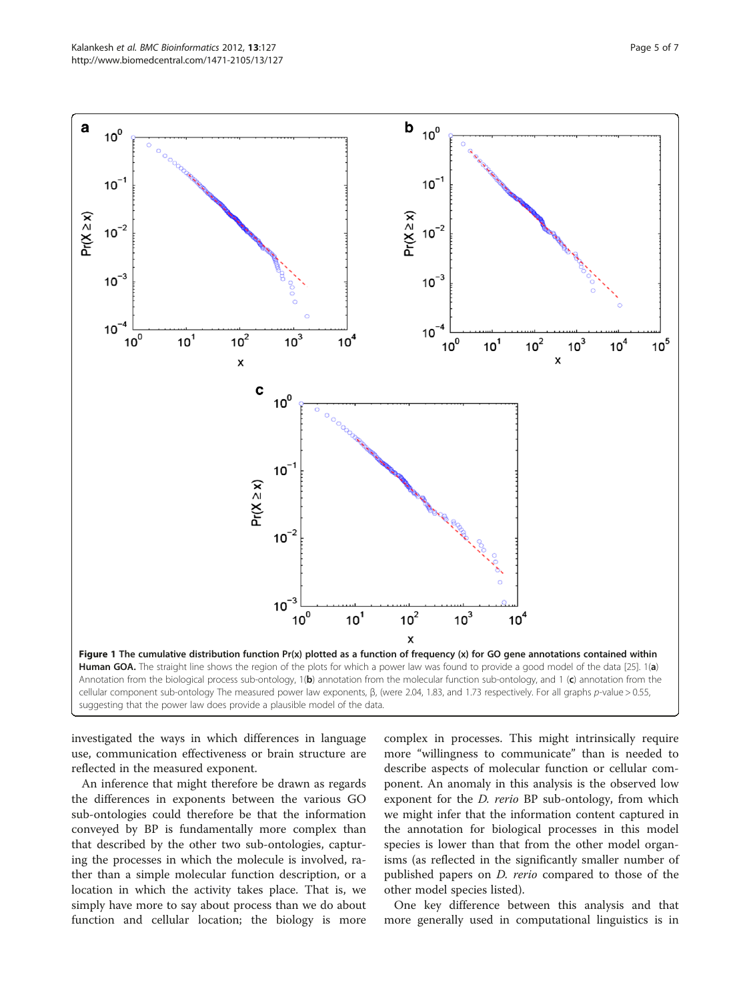<span id="page-4-0"></span>

investigated the ways in which differences in language use, communication effectiveness or brain structure are reflected in the measured exponent.

An inference that might therefore be drawn as regards the differences in exponents between the various GO sub-ontologies could therefore be that the information conveyed by BP is fundamentally more complex than that described by the other two sub-ontologies, capturing the processes in which the molecule is involved, rather than a simple molecular function description, or a location in which the activity takes place. That is, we simply have more to say about process than we do about function and cellular location; the biology is more complex in processes. This might intrinsically require more "willingness to communicate" than is needed to describe aspects of molecular function or cellular component. An anomaly in this analysis is the observed low exponent for the *D. rerio* BP sub-ontology, from which we might infer that the information content captured in the annotation for biological processes in this model species is lower than that from the other model organisms (as reflected in the significantly smaller number of published papers on D. rerio compared to those of the other model species listed).

One key difference between this analysis and that more generally used in computational linguistics is in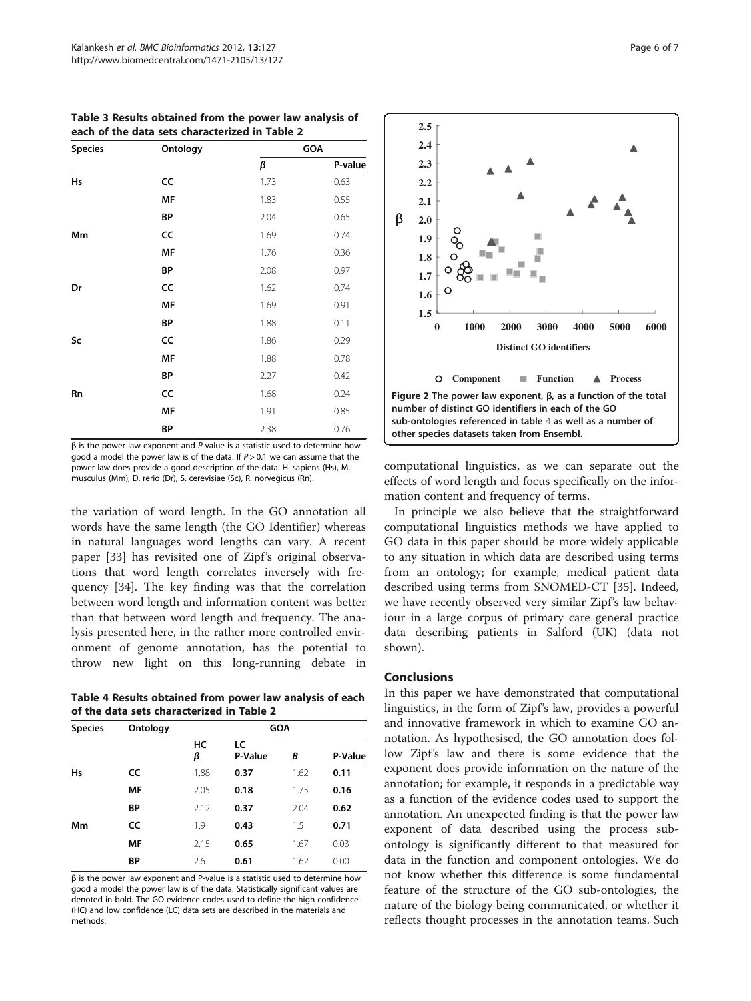| <b>Species</b> | Ontology |      | <b>GOA</b> |  |  |
|----------------|----------|------|------------|--|--|
|                |          | β    | P-value    |  |  |
| Hs             | CC       | 1.73 | 0.63       |  |  |
|                | MF       | 1.83 | 0.55       |  |  |
|                | BP       | 2.04 | 0.65       |  |  |
| Mm             | CC       | 1.69 | 0.74       |  |  |
|                | MF       | 1.76 | 0.36       |  |  |
|                | BP       | 2.08 | 0.97       |  |  |
| Dr             | CC       | 1.62 | 0.74       |  |  |
|                | MF       | 1.69 | 0.91       |  |  |
|                | BP       | 1.88 | 0.11       |  |  |
| Sc             | CC       | 1.86 | 0.29       |  |  |
|                | MF       | 1.88 | 0.78       |  |  |
|                | BP       | 2.27 | 0.42       |  |  |
| Rn             | CC       | 1.68 | 0.24       |  |  |
|                | MF       | 1.91 | 0.85       |  |  |
|                | ВP       | 2.38 | 0.76       |  |  |

<span id="page-5-0"></span>Table 3 Results obtained from the power law analysis of each of the data sets characterized in Table [2](#page-2-0)

 $β$  is the power law exponent and P-value is a statistic used to determine how good a model the power law is of the data. If  $P > 0.1$  we can assume that the power law does provide a good description of the data. H. sapiens (Hs), M. musculus (Mm), D. rerio (Dr), S. cerevisiae (Sc), R. norvegicus (Rn).

the variation of word length. In the GO annotation all words have the same length (the GO Identifier) whereas in natural languages word lengths can vary. A recent paper [\[33\]](#page-6-0) has revisited one of Zipf's original observations that word length correlates inversely with frequency [[34\]](#page-6-0). The key finding was that the correlation between word length and information content was better than that between word length and frequency. The analysis presented here, in the rather more controlled environment of genome annotation, has the potential to throw new light on this long-running debate in

Table 4 Results obtained from power law analysis of each of the data sets characterized in Table [2](#page-2-0)

| <b>Species</b> | Ontology  | <b>GOA</b> |               |      |         |
|----------------|-----------|------------|---------------|------|---------|
|                |           | НC<br>β    | LC<br>P-Value | В    | P-Value |
| Hs             | cc        | 1.88       | 0.37          | 1.62 | 0.11    |
|                | MF        | 2.05       | 0.18          | 1.75 | 0.16    |
|                | <b>BP</b> | 2.12       | 0.37          | 2.04 | 0.62    |
| Mm             | cc        | 1.9        | 0.43          | 1.5  | 0.71    |
|                | MF        | 2.15       | 0.65          | 1.67 | 0.03    |
|                | ΒP        | 2.6        | 0.61          | 1.62 | 0.00    |

β is the power law exponent and P-value is a statistic used to determine how good a model the power law is of the data. Statistically significant values are denoted in bold. The GO evidence codes used to define the high confidence (HC) and low confidence (LC) data sets are described in the materials and methods.



computational linguistics, as we can separate out the effects of word length and focus specifically on the information content and frequency of terms.

In principle we also believe that the straightforward computational linguistics methods we have applied to GO data in this paper should be more widely applicable to any situation in which data are described using terms from an ontology; for example, medical patient data described using terms from SNOMED-CT [[35](#page-6-0)]. Indeed, we have recently observed very similar Zipf's law behaviour in a large corpus of primary care general practice data describing patients in Salford (UK) (data not shown).

## Conclusions

In this paper we have demonstrated that computational linguistics, in the form of Zipf's law, provides a powerful and innovative framework in which to examine GO annotation. As hypothesised, the GO annotation does follow Zipf's law and there is some evidence that the exponent does provide information on the nature of the annotation; for example, it responds in a predictable way as a function of the evidence codes used to support the annotation. An unexpected finding is that the power law exponent of data described using the process subontology is significantly different to that measured for data in the function and component ontologies. We do not know whether this difference is some fundamental feature of the structure of the GO sub-ontologies, the nature of the biology being communicated, or whether it reflects thought processes in the annotation teams. Such